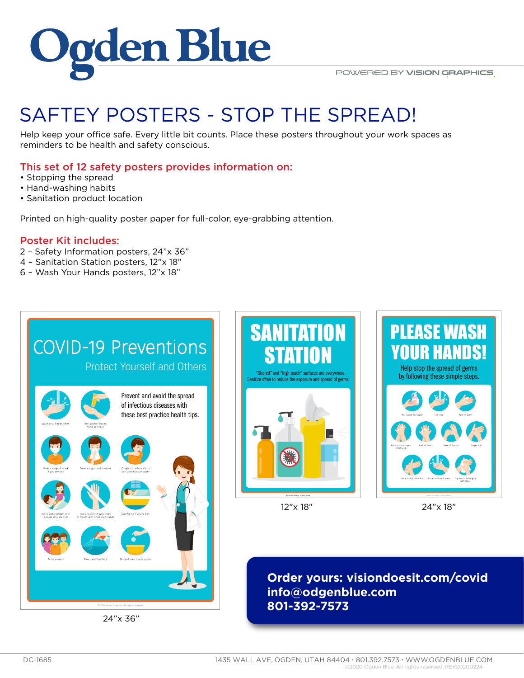

## SAFTEY POSTERS - STOP THE SPREAD!

Help keep your office safe. Every little bit counts. Place these posters throughout your work spaces as reminders to be health and safety conscious.

## This set of 12 safety posters provides information on:

- Stopping the spread
- Hand-washing habits
- Sanitation product location

Printed on high-quality poster paper for full-color, eye-grabbing attention.

#### Poster Kit includes:

- 2 Safety Information posters, 24"x 36"
- 4 Sanitation Station posters, 12"x 18"
- 6 Wash Your Hands posters, 12"x 18"



24"x 36"





12"x 18" 24"x 18"

**Order yours: visiondoesit.com/covid info@odgenblue.com 801-392-7573**